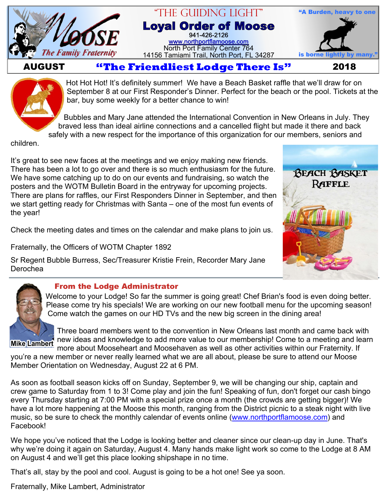

#### "The Guiding Light" **Loyal Order of Moose** 941-426-2126 [www.northportflamoose.com](http://www.northportflamoose.com) North Port Family Center 764 14156 Tamiami Trail, North Port, FL 34287 is borne light



## AUGUST **Extendliest Lodge There Is"** 2018



Hot Hot Hot! It's definitely summer! We have a Beach Basket raffle that we'll draw for on September 8 at our First Responder's Dinner. Perfect for the beach or the pool. Tickets at the bar, buy some weekly for a better chance to win!

Bubbles and Mary Jane attended the International Convention in New Orleans in July. They braved less than ideal airline connections and a cancelled flight but made it there and back safely with a new respect for the importance of this organization for our members, seniors and

children.

It's great to see new faces at the meetings and we enjoy making new friends. There has been a lot to go over and there is so much enthusiasm for the future. We have some catching up to do on our events and fundraising, so watch the posters and the WOTM Bulletin Board in the entryway for upcoming projects. There are plans for raffles, our First Responders Dinner in September, and then we start getting ready for Christmas with Santa – one of the most fun events of the year!

Check the meeting dates and times on the calendar and make plans to join us.

Fraternally, the Officers of WOTM Chapter 1892

Sr Regent Bubble Burress, Sec/Treasurer Kristie Frein, Recorder Mary Jane Derochea





#### **From the Lodge Administrator**

Welcome to your Lodge! So far the summer is going great! Chef Brian's food is even doing better. Please come try his specials! We are working on our new football menu for the upcoming season! Come watch the games on our HD TVs and the new big screen in the dining area!

**Mike Lambert**

Three board members went to the convention in New Orleans last month and came back with new ideas and knowledge to add more value to our membership! Come to a meeting and learn more about Mooseheart and Moosehaven as well as other activities within our Fraternity. If

you're a new member or never really learned what we are all about, please be sure to attend our Moose Member Orientation on Wednesday, August 22 at 6 PM.

As soon as football season kicks off on Sunday, September 9, we will be changing our ship, captain and crew game to Saturday from 1 to 3! Come play and join the fun! Speaking of fun, don't forget our cash bingo every Thursday starting at 7:00 PM with a special prize once a month (the crowds are getting bigger)! We have a lot more happening at the Moose this month, ranging from the District picnic to a steak night with live music, so be sure to check the monthly calendar of events online ([www.northportflamoose.com](http://www.northportflamoose.com)) and Facebook!

We hope you've noticed that the Lodge is looking better and cleaner since our clean-up day in June. That's why we're doing it again on Saturday, August 4. Many hands make light work so come to the Lodge at 8 AM on August 4 and we'll get this place looking shipshape in no time.

That's all, stay by the pool and cool. August is going to be a hot one! See ya soon.

Fraternally, Mike Lambert, Administrator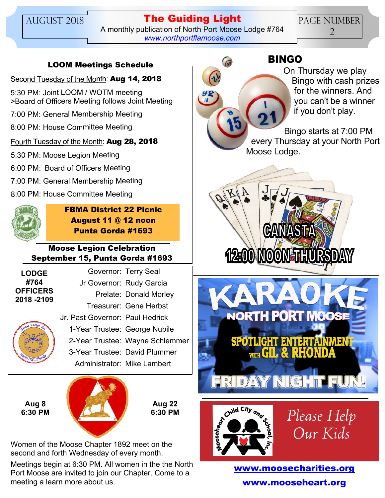## AUGUST 2018 **The Guiding Light** A monthly publication of North Port Moose Lodge #764 *[www.northportflamoose.com](http://www.northportflamoose.com)*

**LOOM Meetings Schedule**

# Second Tuesday of the Month: **Aug 14, 2018**

5:30 PM: Joint LOOM / WOTM meeting >Board of Officers Meeting follows Joint Meeting

7:00 PM: General Membership Meeting

8:00 PM: House Committee Meeting

# Fourth Tuesday of the Month: **Aug 28, 2018**

5:30 PM: Moose Legion Meeting

6:00 PM: Board of Officers Meeting

- 7:00 PM: General Membership Meeting
- 8:00 PM: House Committee Meeting



**FBMA District 22 Picnic August 11 @ 12 noon Punta Gorda #1693**

## **Moose Legion Celebration September 15, Punta Gorda #1693**

| LODGE           |
|-----------------|
| #764            |
| <b>OFFICERS</b> |
| 2018 -2109      |

Governor: Terry Seal Jr Governor: Rudy Garcia Prelate: Donald Morley Treasurer: Gene Herbst Jr. Past Governor: Paul Hedrick 1-Year Trustee: George Nubile 2-Year Trustee: Wayne Schlemmer 3-Year Trustee: David Plummer Administrator: Mike Lambert

**Aug 8 6:30 PM**



**Aug 22 6:30 PM**

Women of the Moose Chapter 1892 meet on the second and forth Wednesday of every month.

Meetings begin at 6:30 PM. All women in the the North Port Moose are invited to join our Chapter. Come to a meeting a learn more about us.

# **BINGO**

On Thursday we play Bingo with cash prizes for the winners. And you can't be a winner if you don't play.

Bingo starts at 7:00 PM every Thursday at your North Port Moose Lodge.







Please Help Our Kids

**[www.moosecharities.org](http://www.moosecharities.org) [www.mooseheart.org](http://www.mooseheart.org)**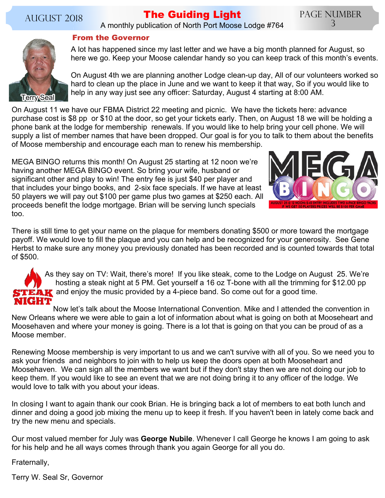#### AUGUST 2018 **The Guiding Light** A monthly publication of North Port Moose Lodge #764

Page Number 3



#### **From the Governor**

A lot has happened since my last letter and we have a big month planned for August, so here we go. Keep your Moose calendar handy so you can keep track of this month's events.

On August 4th we are planning another Lodge clean-up day, All of our volunteers worked so hard to clean up the place in June and we want to keep it that way, So if you would like to help in any way just see any officer: Saturday, August 4 starting at 8:00 AM.

On August 11 we have our FBMA District 22 meeting and picnic. We have the tickets here: advance purchase cost is \$8 pp or \$10 at the door, so get your tickets early. Then, on August 18 we will be holding a phone bank at the lodge for membership renewals. If you would like to help bring your cell phone. We will supply a list of member names that have been dropped. Our goal is for you to talk to them about the benefits of Moose membership and encourage each man to renew his membership.

MEGA BINGO returns this month! On August 25 starting at 12 noon we're having another MEGA BINGO event. So bring your wife, husband or significant other and play to win! The entry fee is just \$40 per player and that includes your bingo books, and 2-six face specials. If we have at least 50 players we will pay out \$100 per game plus two games at \$250 each. All proceeds benefit the lodge mortgage. Brian will be serving lunch specials too.



There is still time to get your name on the plaque for members donating \$500 or more toward the mortgage payoff. We would love to fill the plaque and you can help and be recognized for your generosity. See Gene Herbst to make sure any money you previously donated has been recorded and is counted towards that total of \$500.



As they say on TV: Wait, there's more! If you like steak, come to the Lodge on August 25. We're hosting a steak night at 5 PM. Get yourself a 16 oz T-bone with all the trimming for \$12.00 pp STEAK and enjoy the music provided by a 4-piece band. So come out for a good time.

Now let's talk about the Moose International Convention. Mike and I attended the convention in New Orleans where we were able to gain a lot of information about what is going on both at Mooseheart and Moosehaven and where your money is going. There is a lot that is going on that you can be proud of as a Moose member.

Renewing Moose membership is very important to us and we can't survive with all of you. So we need you to ask your friends and neighbors to join with to help us keep the doors open at both Mooseheart and Moosehaven. We can sign all the members we want but if they don't stay then we are not doing our job to keep them. If you would like to see an event that we are not doing bring it to any officer of the lodge. We would love to talk with you about your ideas.

In closing I want to again thank our cook Brian. He is bringing back a lot of members to eat both lunch and dinner and doing a good job mixing the menu up to keep it fresh. If you haven't been in lately come back and try the new menu and specials.

Our most valued member for July was **George Nubile**. Whenever I call George he knows I am going to ask for his help and he all ways comes through thank you again George for all you do.

Fraternally,

Terry W. Seal Sr, Governor